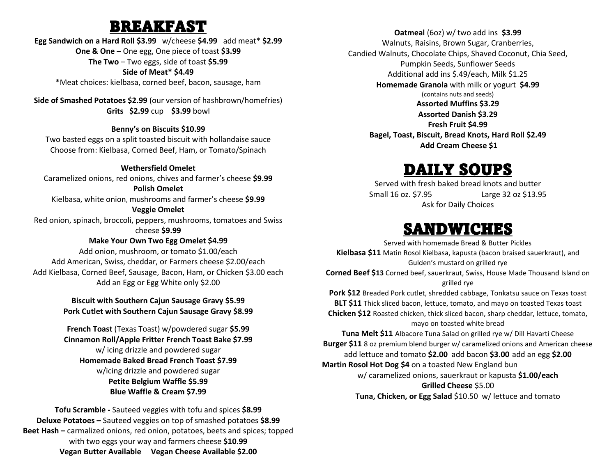### BREAKFAST

### **Egg Sandwich on a Hard Roll \$3.99** w/cheese **\$4.99** add meat\* **\$2.99 One & One** – One egg, One piece of toast **\$3.99 The Two** – Two eggs, side of toast **\$5.99 Side of Meat\* \$4.49** \*Meat choices: kielbasa, corned beef, bacon, sausage, ham

**Side of Smashed Potatoes \$2.99** (our version of hashbrown/homefries) **Grits \$2.99** cup **\$3.99** bowl

#### **Benny's on Biscuits \$10.99**

Two basted eggs on a split toasted biscuit with hollandaise sauce Choose from: Kielbasa, Corned Beef, Ham, or Tomato/Spinach

#### **Wethersfield Omelet**

Caramelized onions, red onions, chives and farmer's cheese **\$9.99 Polish Omelet**  Kielbasa, white onion, mushrooms and farmer's cheese **\$9.99 Veggie Omelet**  Red onion, spinach, broccoli, peppers, mushrooms, tomatoes and Swiss cheese **\$9.99**

#### **Make Your Own Two Egg Omelet \$4.99**

Add onion, mushroom, or tomato \$1.00/each Add American, Swiss, cheddar, or Farmers cheese \$2.00/each Add Kielbasa, Corned Beef, Sausage, Bacon, Ham, or Chicken \$3.00 each Add an Egg or Egg White only \$2.00

### **Biscuit with Southern Cajun Sausage Gravy \$5.99 Pork Cutlet with Southern Cajun Sausage Gravy \$8.99**

**French Toast** (Texas Toast) w/powdered sugar **\$5.99 Cinnamon Roll/Apple Fritter French Toast Bake \$7.99** w/ icing drizzle and powdered sugar **Homemade Baked Bread French Toast \$7.99** w/icing drizzle and powdered sugar **Petite Belgium Waffle \$5.99 Blue Waffle & Cream \$7.99**

**Tofu Scramble -** Sauteed veggies with tofu and spices **\$8.99 Deluxe Potatoes –** Sauteed veggies on top of smashed potatoes **\$8.99 Beet Hash –** carmalized onions, red onion, potatoes, beets and spices; topped with two eggs your way and farmers cheese **\$10.99 Vegan Butter Available Vegan Cheese Available \$2.00**

**Oatmeal** (6oz) w/ two add ins **\$3.99** Walnuts, Raisins, Brown Sugar, Cranberries, Candied Walnuts, Chocolate Chips, Shaved Coconut, Chia Seed, Pumpkin Seeds, Sunflower Seeds Additional add ins \$.49/each, Milk \$1.25 **Homemade Granola** with milk or yogurt **\$4.99** (contains nuts and seeds) **Assorted Muffins \$3.29 Assorted Danish \$3.29 Fresh Fruit \$4.99 Bagel, Toast, Biscuit, Bread Knots, Hard Roll \$2.49 Add Cream Cheese \$1**

## DAILY SOUPS

Served with fresh baked bread knots and butter Small 16 oz. \$7.95 Large 32 oz \$13.95 Ask for Daily Choices

### SANDWICHES

Served with homemade Bread & Butter Pickles **Kielbasa \$11** Matin Rosol Kielbasa, kapusta (bacon braised sauerkraut), and Gulden's mustard on grilled rye **Corned Beef \$13** Corned beef, sauerkraut, Swiss, House Made Thousand Island on grilled rye **Pork \$12** Breaded Pork cutlet, shredded cabbage, Tonkatsu sauce on Texas toast **BLT \$11** Thick sliced bacon, lettuce, tomato, and mayo on toasted Texas toast **Chicken \$12** Roasted chicken, thick sliced bacon, sharp cheddar, lettuce, tomato, mayo on toasted white bread **Tuna Melt \$11** Albacore Tuna Salad on grilled rye w/ Dill Havarti Cheese **Burger \$11** 8 oz premium blend burger w/ caramelized onions and American cheese add lettuce and tomato **\$2.00** add bacon **\$3.00** add an egg **\$2.00 Martin Rosol Hot Dog \$4** on a toasted New England bun w/ caramelized onions, sauerkraut or kapusta **\$1.00/each Grilled Cheese** \$5.00 **Tuna, Chicken, or Egg Salad** \$10.50 w/ lettuce and tomato